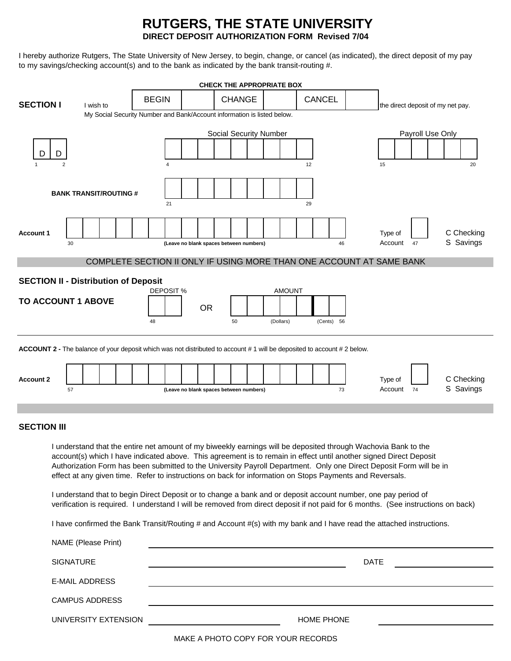# **RUTGERS, THE STATE UNIVERSITY DIRECT DEPOSIT AUTHORIZATION FORM Revised 7/04**

I hereby authorize Rutgers, The State University of New Jersey, to begin, change, or cancel (as indicated), the direct deposit of my pay to my savings/checking account(s) and to the bank as indicated by the bank transit-routing #.

|                                                                                                                                                                                                                                                     | <b>CHECK THE APPROPRIATE BOX</b>                                                                                              |                                                                                                                 |                       |           |  |  |              |                                                                         |                                         |           |  |               |                  |  |           |            |             |               |  |                    |                                   |    |  |                         |                         |  |
|-----------------------------------------------------------------------------------------------------------------------------------------------------------------------------------------------------------------------------------------------------|-------------------------------------------------------------------------------------------------------------------------------|-----------------------------------------------------------------------------------------------------------------|-----------------------|-----------|--|--|--------------|-------------------------------------------------------------------------|-----------------------------------------|-----------|--|---------------|------------------|--|-----------|------------|-------------|---------------|--|--------------------|-----------------------------------|----|--|-------------------------|-------------------------|--|
| <b>SECTION I</b>                                                                                                                                                                                                                                    |                                                                                                                               |                                                                                                                 |                       | I wish to |  |  | <b>BEGIN</b> | My Social Security Number and Bank/Account information is listed below. |                                         |           |  | <b>CHANGE</b> |                  |  |           |            |             | <b>CANCEL</b> |  |                    | the direct deposit of my net pay. |    |  |                         |                         |  |
|                                                                                                                                                                                                                                                     |                                                                                                                               |                                                                                                                 |                       |           |  |  |              |                                                                         |                                         |           |  |               |                  |  |           |            |             |               |  |                    |                                   |    |  |                         |                         |  |
| Social Security Number                                                                                                                                                                                                                              |                                                                                                                               |                                                                                                                 |                       |           |  |  |              |                                                                         |                                         |           |  |               | Payroll Use Only |  |           |            |             |               |  |                    |                                   |    |  |                         |                         |  |
|                                                                                                                                                                                                                                                     | D                                                                                                                             |                                                                                                                 |                       |           |  |  |              |                                                                         |                                         |           |  |               |                  |  |           |            |             |               |  |                    |                                   |    |  |                         |                         |  |
|                                                                                                                                                                                                                                                     | $\overline{2}$                                                                                                                |                                                                                                                 |                       |           |  |  | 4            |                                                                         |                                         |           |  |               |                  |  |           | 12         |             |               |  | 15                 |                                   |    |  |                         | 20                      |  |
|                                                                                                                                                                                                                                                     |                                                                                                                               |                                                                                                                 |                       |           |  |  |              |                                                                         |                                         |           |  |               |                  |  |           |            |             |               |  |                    |                                   |    |  |                         |                         |  |
| <b>BANK TRANSIT/ROUTING #</b>                                                                                                                                                                                                                       |                                                                                                                               |                                                                                                                 |                       |           |  |  | 21<br>29     |                                                                         |                                         |           |  |               |                  |  |           |            |             |               |  |                    |                                   |    |  |                         |                         |  |
|                                                                                                                                                                                                                                                     |                                                                                                                               |                                                                                                                 |                       |           |  |  |              |                                                                         |                                         |           |  |               |                  |  |           |            |             |               |  |                    |                                   |    |  |                         |                         |  |
| <b>Account 1</b>                                                                                                                                                                                                                                    |                                                                                                                               | 30                                                                                                              |                       |           |  |  |              |                                                                         |                                         |           |  |               |                  |  |           |            |             | 46            |  | Type of<br>Account |                                   | 47 |  |                         | C Checking<br>S Savings |  |
|                                                                                                                                                                                                                                                     |                                                                                                                               | (Leave no blank spaces between numbers)<br>COMPLETE SECTION II ONLY IF USING MORE THAN ONE ACCOUNT AT SAME BANK |                       |           |  |  |              |                                                                         |                                         |           |  |               |                  |  |           |            |             |               |  |                    |                                   |    |  |                         |                         |  |
|                                                                                                                                                                                                                                                     |                                                                                                                               |                                                                                                                 |                       |           |  |  |              |                                                                         |                                         |           |  |               |                  |  |           |            |             |               |  |                    |                                   |    |  |                         |                         |  |
| <b>SECTION II - Distribution of Deposit</b><br>DEPOSIT %<br><b>AMOUNT</b>                                                                                                                                                                           |                                                                                                                               |                                                                                                                 |                       |           |  |  |              |                                                                         |                                         |           |  |               |                  |  |           |            |             |               |  |                    |                                   |    |  |                         |                         |  |
|                                                                                                                                                                                                                                                     |                                                                                                                               | <b>TO ACCOUNT 1 ABOVE</b>                                                                                       |                       |           |  |  |              |                                                                         |                                         |           |  |               |                  |  |           |            |             |               |  |                    |                                   |    |  |                         |                         |  |
|                                                                                                                                                                                                                                                     |                                                                                                                               |                                                                                                                 |                       |           |  |  | 48           |                                                                         |                                         | <b>OR</b> |  | 50            |                  |  | (Dollars) | (Cents) 56 |             |               |  |                    |                                   |    |  |                         |                         |  |
|                                                                                                                                                                                                                                                     |                                                                                                                               |                                                                                                                 |                       |           |  |  |              |                                                                         |                                         |           |  |               |                  |  |           |            |             |               |  |                    |                                   |    |  |                         |                         |  |
|                                                                                                                                                                                                                                                     | <b>ACCOUNT 2 -</b> The balance of your deposit which was not distributed to account #1 will be deposited to account #2 below. |                                                                                                                 |                       |           |  |  |              |                                                                         |                                         |           |  |               |                  |  |           |            |             |               |  |                    |                                   |    |  |                         |                         |  |
|                                                                                                                                                                                                                                                     |                                                                                                                               |                                                                                                                 |                       |           |  |  |              |                                                                         |                                         |           |  |               |                  |  |           |            |             |               |  |                    |                                   |    |  |                         |                         |  |
| <b>Account 2</b>                                                                                                                                                                                                                                    |                                                                                                                               | 57                                                                                                              |                       |           |  |  |              |                                                                         | (Leave no blank spaces between numbers) |           |  |               |                  |  |           |            |             | 73            |  | Type of<br>Account |                                   | 74 |  | C Checking<br>S Savings |                         |  |
|                                                                                                                                                                                                                                                     |                                                                                                                               |                                                                                                                 |                       |           |  |  |              |                                                                         |                                         |           |  |               |                  |  |           |            |             |               |  |                    |                                   |    |  |                         |                         |  |
|                                                                                                                                                                                                                                                     | <b>SECTION III</b>                                                                                                            |                                                                                                                 |                       |           |  |  |              |                                                                         |                                         |           |  |               |                  |  |           |            |             |               |  |                    |                                   |    |  |                         |                         |  |
|                                                                                                                                                                                                                                                     |                                                                                                                               |                                                                                                                 |                       |           |  |  |              |                                                                         |                                         |           |  |               |                  |  |           |            |             |               |  |                    |                                   |    |  |                         |                         |  |
| I understand that the entire net amount of my biweekly earnings will be deposited through Wachovia Bank to the<br>account(s) which I have indicated above. This agreement is to remain in effect until another signed Direct Deposit                |                                                                                                                               |                                                                                                                 |                       |           |  |  |              |                                                                         |                                         |           |  |               |                  |  |           |            |             |               |  |                    |                                   |    |  |                         |                         |  |
| Authorization Form has been submitted to the University Payroll Department. Only one Direct Deposit Form will be in<br>effect at any given time. Refer to instructions on back for information on Stops Payments and Reversals.                     |                                                                                                                               |                                                                                                                 |                       |           |  |  |              |                                                                         |                                         |           |  |               |                  |  |           |            |             |               |  |                    |                                   |    |  |                         |                         |  |
| I understand that to begin Direct Deposit or to change a bank and or deposit account number, one pay period of<br>verification is required. I understand I will be removed from direct deposit if not paid for 6 months. (See instructions on back) |                                                                                                                               |                                                                                                                 |                       |           |  |  |              |                                                                         |                                         |           |  |               |                  |  |           |            |             |               |  |                    |                                   |    |  |                         |                         |  |
|                                                                                                                                                                                                                                                     | I have confirmed the Bank Transit/Routing # and Account #(s) with my bank and I have read the attached instructions.          |                                                                                                                 |                       |           |  |  |              |                                                                         |                                         |           |  |               |                  |  |           |            |             |               |  |                    |                                   |    |  |                         |                         |  |
|                                                                                                                                                                                                                                                     | NAME (Please Print)                                                                                                           |                                                                                                                 |                       |           |  |  |              |                                                                         |                                         |           |  |               |                  |  |           |            |             |               |  |                    |                                   |    |  |                         |                         |  |
|                                                                                                                                                                                                                                                     |                                                                                                                               |                                                                                                                 |                       |           |  |  |              |                                                                         |                                         |           |  |               |                  |  |           |            |             |               |  |                    |                                   |    |  |                         |                         |  |
| <b>SIGNATURE</b><br><b>E-MAIL ADDRESS</b>                                                                                                                                                                                                           |                                                                                                                               |                                                                                                                 |                       |           |  |  |              |                                                                         |                                         |           |  |               |                  |  |           |            | <b>DATE</b> |               |  |                    |                                   |    |  |                         |                         |  |
|                                                                                                                                                                                                                                                     |                                                                                                                               |                                                                                                                 |                       |           |  |  |              |                                                                         |                                         |           |  |               |                  |  |           |            |             |               |  |                    |                                   |    |  |                         |                         |  |
|                                                                                                                                                                                                                                                     |                                                                                                                               |                                                                                                                 | <b>CAMPUS ADDRESS</b> |           |  |  |              |                                                                         |                                         |           |  |               |                  |  |           |            |             |               |  |                    |                                   |    |  |                         |                         |  |
|                                                                                                                                                                                                                                                     | UNIVERSITY EXTENSION                                                                                                          |                                                                                                                 |                       |           |  |  |              |                                                                         |                                         |           |  |               |                  |  |           |            | HOME PHONE  |               |  |                    |                                   |    |  |                         |                         |  |

MAKE A PHOTO COPY FOR YOUR RECORDS